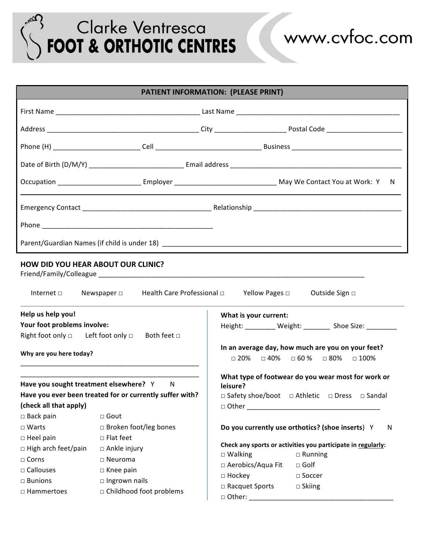# Clarke Ventresca<br>Sector & ORTHOTIC CENTRES

## www.cvfoc.com

| PATIENT INFORMATION: (PLEASE PRINT) |  |
|-------------------------------------|--|
|-------------------------------------|--|

|                                                                                                                                                                   |                                                                                                                                                                  | N.                                                                                                                                                                                                                                                                                       |  |  |  |
|-------------------------------------------------------------------------------------------------------------------------------------------------------------------|------------------------------------------------------------------------------------------------------------------------------------------------------------------|------------------------------------------------------------------------------------------------------------------------------------------------------------------------------------------------------------------------------------------------------------------------------------------|--|--|--|
|                                                                                                                                                                   |                                                                                                                                                                  |                                                                                                                                                                                                                                                                                          |  |  |  |
|                                                                                                                                                                   |                                                                                                                                                                  |                                                                                                                                                                                                                                                                                          |  |  |  |
|                                                                                                                                                                   |                                                                                                                                                                  |                                                                                                                                                                                                                                                                                          |  |  |  |
| <b>HOW DID YOU HEAR ABOUT OUR CLINIC?</b><br>Internet □ Newspaper □ Health Care Professional □ Yellow Pages □ Outside Sign □                                      |                                                                                                                                                                  |                                                                                                                                                                                                                                                                                          |  |  |  |
| Help us help you!<br>Your foot problems involve:<br>Right foot only $\square$ Left foot only $\square$<br>Both feet □<br>Why are you here today?                  |                                                                                                                                                                  | What is your current:<br>Height: _________ Weight: ________ Shoe Size: ________<br>In an average day, how much are you on your feet?<br>$\Box$ 20% $\Box$ 40% $\Box$ 60 % $\Box$ 80% $\Box$ 100%                                                                                         |  |  |  |
| Have you sought treatment elsewhere? Y N<br>Have you ever been treated for or currently suffer with?<br>(check all that apply)<br>$\Box$ Back pain<br>$\Box$ Gout |                                                                                                                                                                  | What type of footwear do you wear most for work or<br>leisure?<br>□ Safety shoe/boot □ Athletic □ Dress □ Sandal                                                                                                                                                                         |  |  |  |
| $\Box$ Warts<br>$\Box$ Heel pain<br>$\Box$ High arch feet/pain<br>□ Corns<br>□ Callouses<br>$\square$ Bunions<br>□ Hammertoes                                     | $\Box$ Broken foot/leg bones<br>$\Box$ Flat feet<br>□ Ankle injury<br>$\Box$ Neuroma<br>$\Box$ Knee pain<br>$\square$ Ingrown nails<br>□ Childhood foot problems | Do you currently use orthotics? (shoe inserts) Y<br>N<br>Check any sports or activities you participate in regularly:<br>$\Box$ Walking<br>$\Box$ Running<br>□ Aerobics/Aqua Fit<br>$\square$ Golf<br>$\square$ Hockey<br>□ Soccer<br>□ Racquet Sports<br>$\Box$ Skiing<br>$\Box$ Other: |  |  |  |